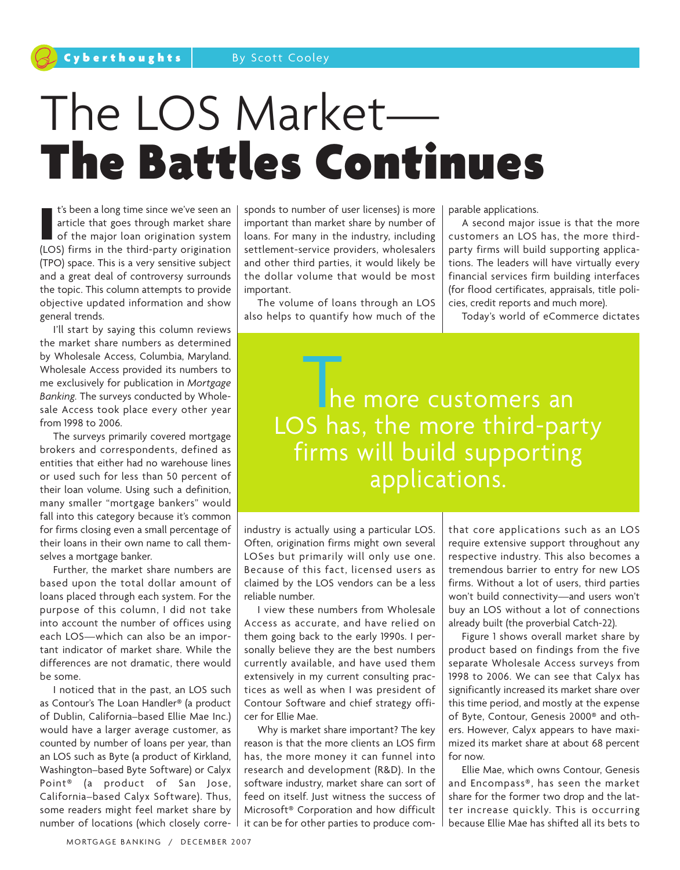# The LOS Market—<br>The Battles Continues

I's been a long time since we've seen an article that goes through market share<br>of the major loan origination system<br>(LOS) firms in the third-party origination t's been a long time since we've seen an article that goes through market share of the major loan origination system (TPO) space. This is a very sensitive subject and a great deal of controversy surrounds the topic. This column attempts to provide objective updated information and show general trends.

I'll start by saying this column reviews the market share numbers as determined by Wholesale Access, Columbia, Maryland. Wholesale Access provided its numbers to me exclusively for publication in *Mortgage Banking.* The surveys conducted by Wholesale Access took place every other year from 1998 to 2006.

The surveys primarily covered mortgage brokers and correspondents, defined as entities that either had no warehouse lines or used such for less than 50 percent of their loan volume. Using such a definition, many smaller "mortgage bankers" would fall into this category because it's common for firms closing even a small percentage of their loans in their own name to call themselves a mortgage banker.

Further, the market share numbers are based upon the total dollar amount of loans placed through each system. For the purpose of this column, I did not take into account the number of offices using each LOS—which can also be an important indicator of market share. While the differences are not dramatic, there would be some.

I noticed that in the past, an LOS such as Contour's The Loan Handler® (a product of Dublin, California–based Ellie Mae Inc.) would have a larger average customer, as counted by number of loans per year, than an LOS such as Byte (a product of Kirkland, Washington–based Byte Software) or Calyx Point® (a product of San Jose, California–based Calyx Software). Thus, some readers might feel market share by number of locations (which closely corresponds to number of user licenses) is more important than market share by number of loans. For many in the industry, including settlement-service providers, wholesalers and other third parties, it would likely be the dollar volume that would be most important.

The volume of loans through an LOS also helps to quantify how much of the parable applications.

A second major issue is that the more customers an LOS has, the more thirdparty firms will build supporting applications. The leaders will have virtually every financial services firm building interfaces (for flood certificates, appraisals, title policies, credit reports and much more).

Today's world of eCommerce dictates

he more customers an LOS has, the more third-party firms will build supporting applications.

industry is actually using a particular LOS. Often, origination firms might own several LOSes but primarily will only use one. Because of this fact, licensed users as claimed by the LOS vendors can be a less reliable number.

I view these numbers from Wholesale Access as accurate, and have relied on them going back to the early 1990s. I personally believe they are the best numbers currently available, and have used them extensively in my current consulting practices as well as when I was president of Contour Software and chief strategy officer for Ellie Mae.

Why is market share important? The key reason is that the more clients an LOS firm has, the more money it can funnel into research and development (R&D). In the software industry, market share can sort of feed on itself. Just witness the success of Microsoft® Corporation and how difficult it can be for other parties to produce comthat core applications such as an LOS require extensive support throughout any respective industry. This also becomes a tremendous barrier to entry for new LOS firms. Without a lot of users, third parties won't build connectivity—and users won't buy an LOS without a lot of connections already built (the proverbial Catch-22).

Figure 1 shows overall market share by product based on findings from the five separate Wholesale Access surveys from 1998 to 2006. We can see that Calyx has significantly increased its market share over this time period, and mostly at the expense of Byte, Contour, Genesis 2000® and others. However, Calyx appears to have maximized its market share at about 68 percent for now.

Ellie Mae, which owns Contour, Genesis and Encompass®, has seen the market share for the former two drop and the latter increase quickly. This is occurring because Ellie Mae has shifted all its bets to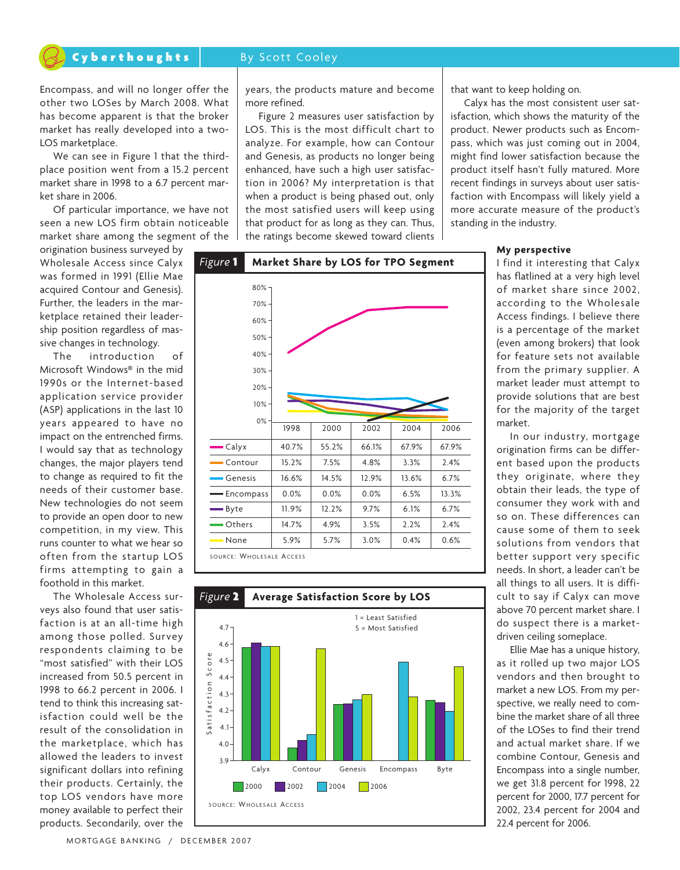# Cyberthoughts By Scott Cooley

Encompass, and will no longer offer the other two LOSes by March 2008. What has become apparent is that the broker market has really developed into a two-LOS marketplace.

We can see in Figure 1 that the thirdplace position went from a 15.2 percent market share in 1998 to a 6.7 percent market share in 2006.

Of particular importance, we have not seen a new LOS firm obtain noticeable market share among the segment of the

origination business surveyed by Wholesale Access since Calyx was formed in 1991 (Ellie Mae acquired Contour and Genesis). Further, the leaders in the marketplace retained their leadership position regardless of massive changes in technology.

The introduction of Microsoft Windows® in the mid 1990s or the Internet-based application service provider (ASP) applications in the last 10 years appeared to have no impact on the entrenched firms. I would say that as technology changes, the major players tend to change as required to fit the needs of their customer base. New technologies do not seem to provide an open door to new competition, in my view. This runs counter to what we hear so often from the startup LOS firms attempting to gain a foothold in this market.

The Wholesale Access surveys also found that user satisfaction is at an all-time high among those polled. Survey respondents claiming to be "most satisfied" with their LOS increased from 50.5 percent in 1998 to 66.2 percent in 2006. I tend to think this increasing satisfaction could well be the result of the consolidation in the marketplace, which has allowed the leaders to invest significant dollars into refining their products. Certainly, the top LOS vendors have more money available to perfect their products. Secondarily, over the

years, the products mature and become more refined.

Figure 2 measures user satisfaction by LOS. This is the most difficult chart to analyze. For example, how can Contour and Genesis, as products no longer being enhanced, have such a high user satisfaction in 2006? My interpretation is that when a product is being phased out, only the most satisfied users will keep using that product for as long as they can. Thus, the ratings become skewed toward clients





that want to keep holding on.

Calyx has the most consistent user satisfaction, which shows the maturity of the product. Newer products such as Encompass, which was just coming out in 2004, might find lower satisfaction because the product itself hasn't fully matured. More recent findings in surveys about user satisfaction with Encompass will likely yield a more accurate measure of the product's standing in the industry.

## **My perspective**

I find it interesting that Calyx has flatlined at a very high level of market share since 2002, according to the Wholesale Access findings. I believe there is a percentage of the market (even among brokers) that look for feature sets not available from the primary supplier. A market leader must attempt to provide solutions that are best for the majority of the target market.

In our industry, mortgage origination firms can be different based upon the products they originate, where they obtain their leads, the type of consumer they work with and so on. These differences can cause some of them to seek solutions from vendors that better support very specific needs. In short, a leader can't be all things to all users. It is difficult to say if Calyx can move above 70 percent market share. I do suspect there is a marketdriven ceiling someplace.

Ellie Mae has a unique history, as it rolled up two major LOS vendors and then brought to market a new LOS. From my perspective, we really need to combine the market share of all three of the LOSes to find their trend and actual market share. If we combine Contour, Genesis and Encompass into a single number, we get 31.8 percent for 1998, 22 percent for 2000, 17.7 percent for 2002, 23.4 percent for 2004 and 22.4 percent for 2006.